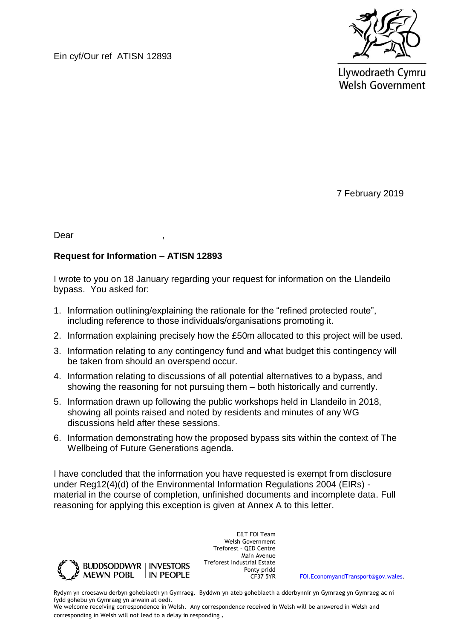Ein cyf/Our ref ATISN 12893



Llywodraeth Cymru **Welsh Government** 

7 February 2019

Dear ,

## **Request for Information – ATISN 12893**

I wrote to you on 18 January regarding your request for information on the Llandeilo bypass. You asked for:

- 1. Information outlining/explaining the rationale for the "refined protected route", including reference to those individuals/organisations promoting it.
- 2. Information explaining precisely how the £50m allocated to this project will be used.
- 3. Information relating to any contingency fund and what budget this contingency will be taken from should an overspend occur.
- 4. Information relating to discussions of all potential alternatives to a bypass, and showing the reasoning for not pursuing them – both historically and currently.
- 5. Information drawn up following the public workshops held in Llandeilo in 2018, showing all points raised and noted by residents and minutes of any WG discussions held after these sessions.
- 6. Information demonstrating how the proposed bypass sits within the context of The Wellbeing of Future Generations agenda.

I have concluded that the information you have requested is exempt from disclosure under Reg12(4)(d) of the Environmental Information Regulations 2004 (EIRs) material in the course of completion, unfinished documents and incomplete data. Full reasoning for applying this exception is given at Annex A to this letter.



E&T FOI Team Welsh Government Treforest – QED Centre Main Avenue Treforest Industrial Estate Ponty pridd<br>CF37 5YR

[FOI.EconomyandTransport@gov.wales.](mailto:FOI.EconomyandTransport@gov.wales)

Rydym yn croesawu derbyn gohebiaeth yn Gymraeg. Byddwn yn ateb gohebiaeth a dderbynnir yn Gymraeg yn Gymraeg ac ni fydd gohebu yn Gymraeg yn arwain at oedi.

We welcome receiving correspondence in Welsh. Any correspondence received in Welsh will be answered in Welsh and corresponding in Welsh will not lead to a delay in responding.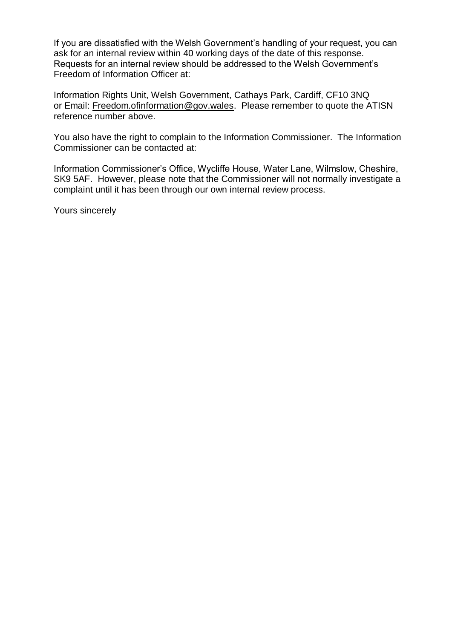If you are dissatisfied with the Welsh Government's handling of your request, you can ask for an internal review within 40 working days of the date of this response. Requests for an internal review should be addressed to the Welsh Government's Freedom of Information Officer at:

Information Rights Unit, Welsh Government, Cathays Park, Cardiff, CF10 3NQ or Email: [Freedom.ofinformation@gov.wales.](mailto:Freedom.ofinformation@gov.wales) Please remember to quote the ATISN reference number above.

You also have the right to complain to the Information Commissioner. The Information Commissioner can be contacted at:

Information Commissioner's Office, Wycliffe House, Water Lane, Wilmslow, Cheshire, SK9 5AF. However, please note that the Commissioner will not normally investigate a complaint until it has been through our own internal review process.

Yours sincerely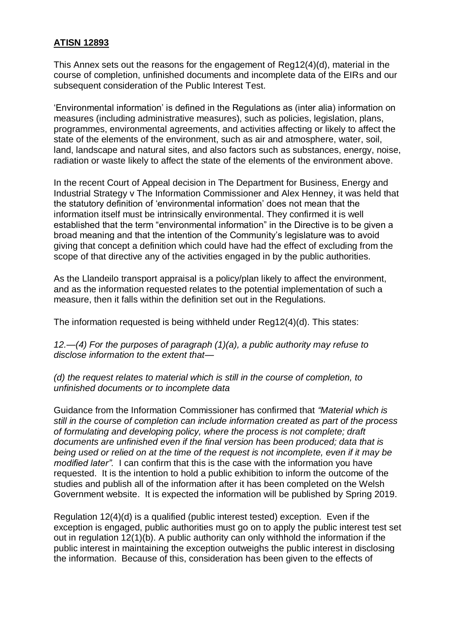## **ATISN 12893**

This Annex sets out the reasons for the engagement of Reg12(4)(d), material in the course of completion, unfinished documents and incomplete data of the EIRs and our subsequent consideration of the Public Interest Test.

'Environmental information' is defined in the Regulations as (inter alia) information on measures (including administrative measures), such as policies, legislation, plans, programmes, environmental agreements, and activities affecting or likely to affect the state of the elements of the environment, such as air and atmosphere, water, soil, land, landscape and natural sites, and also factors such as substances, energy, noise, radiation or waste likely to affect the state of the elements of the environment above.

In the recent Court of Appeal decision in The Department for Business, Energy and Industrial Strategy v The Information Commissioner and Alex Henney, it was held that the statutory definition of 'environmental information' does not mean that the information itself must be intrinsically environmental. They confirmed it is well established that the term "environmental information" in the Directive is to be given a broad meaning and that the intention of the Community's legislature was to avoid giving that concept a definition which could have had the effect of excluding from the scope of that directive any of the activities engaged in by the public authorities.

As the Llandeilo transport appraisal is a policy/plan likely to affect the environment, and as the information requested relates to the potential implementation of such a measure, then it falls within the definition set out in the Regulations.

The information requested is being withheld under Reg12(4)(d). This states:

*12.—(4) For the purposes of paragraph (1)(a), a public authority may refuse to disclose information to the extent that—*

*(d) the request relates to material which is still in the course of completion, to unfinished documents or to incomplete data*

Guidance from the Information Commissioner has confirmed that *"Material which is still in the course of completion can include information created as part of the process of formulating and developing policy, where the process is not complete; draft documents are unfinished even if the final version has been produced; data that is being used or relied on at the time of the request is not incomplete, even if it may be modified later".* I can confirm that this is the case with the information you have requested. It is the intention to hold a public exhibition to inform the outcome of the studies and publish all of the information after it has been completed on the Welsh Government website. It is expected the information will be published by Spring 2019.

Regulation 12(4)(d) is a qualified (public interest tested) exception. Even if the exception is engaged, public authorities must go on to apply the public interest test set out in regulation 12(1)(b). A public authority can only withhold the information if the public interest in maintaining the exception outweighs the public interest in disclosing the information. Because of this, consideration has been given to the effects of